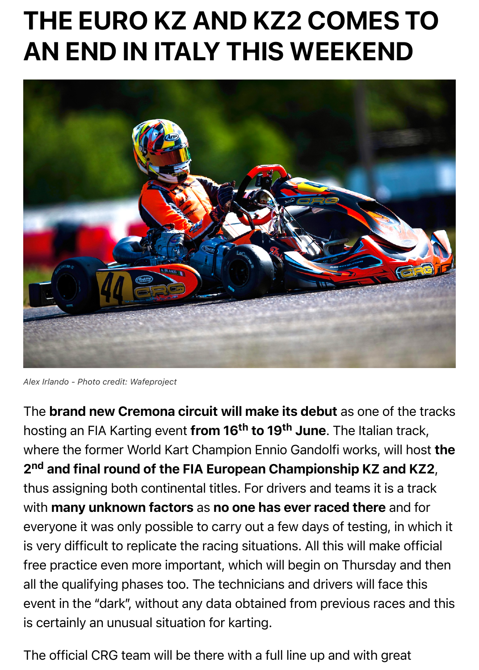

*Alex Irlando - Photo credit: Wafeproject*

The brand new Cremona circuit will make its debut as one of the hosting an FIA Karting event **from 16<sup>th</sup> to 19<sup>th</sup> June**. The Italian trac where the former World Kart Champion Ennio Gandolfi works, will ho 2<sup>nd</sup> and final round of the FIA European Championship KZ and K. thus assigning both continental titles. For drivers and teams it is a tra with many unknown factors as no one has ever raced there and for everyone it was only possible to carry out a few days of testing, in which is very difficult to replicate the racing situations. All this will make off free practice even more important, which will begin on Thursday and all the qualifying phases too. The technicians and drivers will face this event in the "dark", without any data obtained from previous races are is certainly an unusual situation for karting.

The official CRG team will be there with a full line up and with great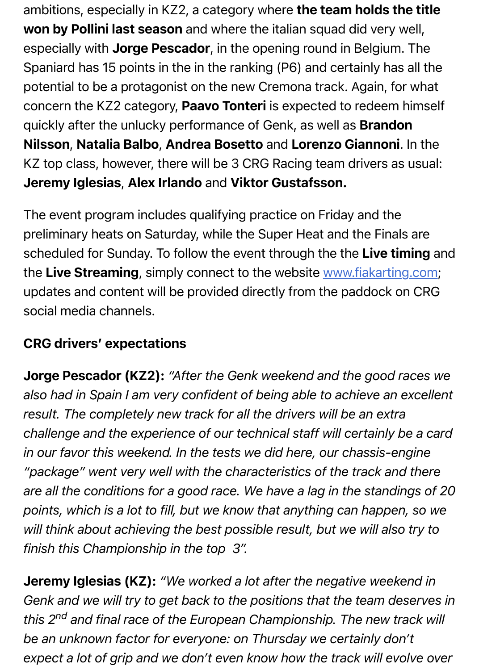quickly after the unlucky performance of Genk, as well as Brandon Nilsson, Natalia Balbo, Andrea Bosetto and Lorenzo Giannoni. In KZ top class, however, there will be 3 CRG Racing team drivers as us Jeremy Iglesias, Alex Irlando and Viktor Gustafsson.

The event program includes qualifying practice on Friday and the preliminary heats on Saturday, while the Super Heat and the Finals are scheduled for Sunday. To follow the event through the the Live timing the Live Streaming, simply connect to the website www.fiakarting.com updates and content will be provided directly from the paddock on C social media channels.

## CRG drivers' expectations

Jorge Pescador (KZ2): *"After the Genk weekend and the good races we also had in Spain I am very confident of being able to achieve an exc result. The completely new track for all the drivers will be an extra challenge and the experience of our technical staff will certainly be a in our favor this weekend. In the tests we did here, our chassis-engir* "package" went very well with the characteristics of the track and th *are all the conditions for a good race. We have a lag in the standings points, which is a lot to fill, but we know that anything can happen, s* will think about achieving the best possible result, but we will also try *finish this Championship in the top 3″.*

**Jeremy Iglesias (KZ):** "We worked a lot after the negative weekend Genk and we will try to get back to the positions that the team deser *this 2nd and final race of the European Championship. The new track will be an unknown factor for everyone: on Thursday we certainly don't* expect a lot of grip and we don't even know how the track will evolve